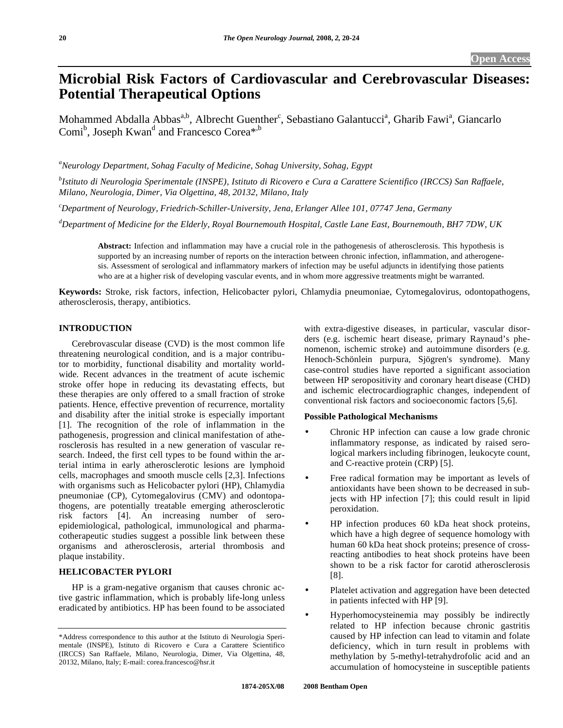# **Microbial Risk Factors of Cardiovascular and Cerebrovascular Diseases: Potential Therapeutical Options**

Mohammed Abdalla Abbas<sup>a,b</sup>, Albrecht Guenther<sup>c</sup>, Sebastiano Galantucci<sup>a</sup>, Gharib Fawi<sup>a</sup>, Giancarlo Comi<sup>b</sup>, Joseph Kwan<sup>d</sup> and Francesco Corea<sup>\*,b</sup>

*a Neurology Department, Sohag Faculty of Medicine, Sohag University, Sohag, Egypt* 

*b Istituto di Neurologia Sperimentale (INSPE), Istituto di Ricovero e Cura a Carattere Scientifico (IRCCS) San Raffaele, Milano, Neurologia, Dimer, Via Olgettina, 48, 20132, Milano, Italy* 

*c Department of Neurology, Friedrich-Schiller-University, Jena, Erlanger Allee 101, 07747 Jena, Germany* 

*d Department of Medicine for the Elderly, Royal Bournemouth Hospital, Castle Lane East, Bournemouth, BH7 7DW, UK* 

**Abstract:** Infection and inflammation may have a crucial role in the pathogenesis of atherosclerosis. This hypothesis is supported by an increasing number of reports on the interaction between chronic infection, inflammation, and atherogenesis. Assessment of serological and inflammatory markers of infection may be useful adjuncts in identifying those patients who are at a higher risk of developing vascular events, and in whom more aggressive treatments might be warranted.

**Keywords:** Stroke, risk factors, infection, Helicobacter pylori, Chlamydia pneumoniae, Cytomegalovirus, odontopathogens, atherosclerosis, therapy, antibiotics.

# **INTRODUCTION**

 Cerebrovascular disease (CVD) is the most common life threatening neurological condition, and is a major contributor to morbidity, functional disability and mortality worldwide. Recent advances in the treatment of acute ischemic stroke offer hope in reducing its devastating effects, but these therapies are only offered to a small fraction of stroke patients. Hence, effective prevention of recurrence, mortality and disability after the initial stroke is especially important [1]. The recognition of the role of inflammation in the pathogenesis, progression and clinical manifestation of atherosclerosis has resulted in a new generation of vascular research. Indeed, the first cell types to be found within the arterial intima in early atherosclerotic lesions are lymphoid cells, macrophages and smooth muscle cells [2,3]. Infections with organisms such as Helicobacter pylori (HP), Chlamydia pneumoniae (CP), Cytomegalovirus (CMV) and odontopathogens, are potentially treatable emerging atherosclerotic risk factors [4]. An increasing number of seroepidemiological, pathological, immunological and pharmacotherapeutic studies suggest a possible link between these organisms and atherosclerosis, arterial thrombosis and plaque instability.

# **HELICOBACTER PYLORI**

 HP is a gram-negative organism that causes chronic active gastric inflammation, which is probably life-long unless eradicated by antibiotics. HP has been found to be associated with extra-digestive diseases, in particular, vascular disorders (e.g. ischemic heart disease, primary Raynaud's phenomenon, ischemic stroke) and autoimmune disorders (e.g. Henoch-Schönlein purpura, Sjögren's syndrome). Many case-control studies have reported a significant association between HP seropositivity and coronary heart disease (CHD) and ischemic electrocardiographic changes, independent of conventional risk factors and socioeconomic factors [5,6].

#### **Possible Pathological Mechanisms**

- Chronic HP infection can cause a low grade chronic inflammatory response, as indicated by raised serological markers including fibrinogen, leukocyte count, and C-reactive protein (CRP) [5].
- Free radical formation may be important as levels of antioxidants have been shown to be decreased in subjects with HP infection [7]; this could result in lipid peroxidation.
	- HP infection produces 60 kDa heat shock proteins, which have a high degree of sequence homology with human 60 kDa heat shock proteins; presence of crossreacting antibodies to heat shock proteins have been shown to be a risk factor for carotid atherosclerosis [8].
	- Platelet activation and aggregation have been detected in patients infected with HP [9].
		- Hyperhomocysteinemia may possibly be indirectly related to HP infection because chronic gastritis caused by HP infection can lead to vitamin and folate deficiency, which in turn result in problems with methylation by 5-methyl-tetrahydrofolic acid and an accumulation of homocysteine in susceptible patients

<sup>\*</sup>Address correspondence to this author at the Istituto di Neurologia Sperimentale (INSPE), Istituto di Ricovero e Cura a Carattere Scientifico (IRCCS) San Raffaele, Milano, Neurologia, Dimer, Via Olgettina, 48, 20132, Milano, Italy; E-mail: corea.francesco@hsr.it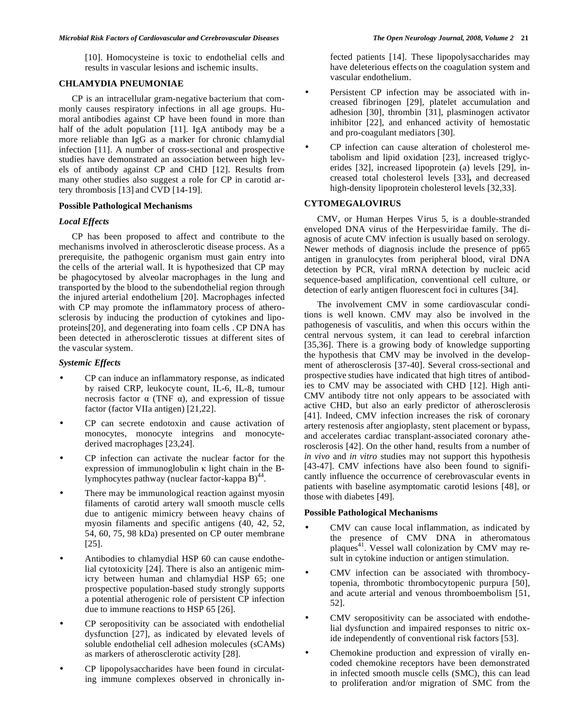[10]. Homocysteine is toxic to endothelial cells and results in vascular lesions and ischemic insults.

# **CHLAMYDIA PNEUMONIAE**

 CP is an intracellular gram-negative bacterium that commonly causes respiratory infections in all age groups. Humoral antibodies against CP have been found in more than half of the adult population [11]. IgA antibody may be a more reliable than IgG as a marker for chronic chlamydial infection [11]. A number of cross-sectional and prospective studies have demonstrated an association between high levels of antibody against CP and CHD [12]. Results from many other studies also suggest a role for CP in carotid artery thrombosis [13] and CVD [14-19].

#### **Possible Pathological Mechanisms**

#### *Local Effects*

 CP has been proposed to affect and contribute to the mechanisms involved in atherosclerotic disease process. As a prerequisite, the pathogenic organism must gain entry into the cells of the arterial wall. It is hypothesized that CP may be phagocytosed by alveolar macrophages in the lung and transported by the blood to the subendothelial region through the injured arterial endothelium [20]. Macrophages infected with CP may promote the inflammatory process of atherosclerosis by inducing the production of cytokines and lipoproteins[20], and degenerating into foam cells . CP DNA has been detected in atherosclerotic tissues at different sites of the vascular system.

# *Systemic Effects*

- CP can induce an inflammatory response, as indicated by raised CRP, leukocyte count, IL-6, IL-8, tumour necrosis factor  $\alpha$  (TNF  $\alpha$ ), and expression of tissue factor (factor VIIa antigen) [21,22].
- CP can secrete endotoxin and cause activation of monocytes, monocyte integrins and monocytederived macrophages [23,24].
- CP infection can activate the nuclear factor for the expression of immunoglobulin  $\kappa$  light chain in the Blymphocytes pathway (nuclear factor-kappa  $B$ )<sup>44</sup>.
- There may be immunological reaction against myosin filaments of carotid artery wall smooth muscle cells due to antigenic mimicry between heavy chains of myosin filaments and specific antigens (40, 42, 52, 54, 60, 75, 98 kDa) presented on CP outer membrane [25].
- Antibodies to chlamydial HSP 60 can cause endothelial cytotoxicity [24]. There is also an antigenic mimicry between human and chlamydial HSP 65; one prospective population-based study strongly supports a potential atherogenic role of persistent CP infection due to immune reactions to HSP 65 [26].
- CP seropositivity can be associated with endothelial dysfunction [27], as indicated by elevated levels of soluble endothelial cell adhesion molecules (sCAMs) as markers of atherosclerotic activity [28].
- CP lipopolysaccharides have been found in circulating immune complexes observed in chronically in-

fected patients [14]. These lipopolysaccharides may have deleterious effects on the coagulation system and vascular endothelium.

Persistent CP infection may be associated with increased fibrinogen [29], platelet accumulation and adhesion [30], thrombin [31], plasminogen activator inhibitor [22], and enhanced activity of hemostatic and pro-coagulant mediators [30].

• CP infection can cause alteration of cholesterol metabolism and lipid oxidation [23], increased triglycerides [32], increased lipoprotein (a) levels [29], increased total cholesterol levels [33]**,** and decreased high-density lipoprotein cholesterol levels [32,33].

# **CYTOMEGALOVIRUS**

 CMV, or Human Herpes Virus 5, is a double-stranded enveloped DNA virus of the Herpesviridae family. The diagnosis of acute CMV infection is usually based on serology. Newer methods of diagnosis include the presence of pp65 antigen in granulocytes from peripheral blood, viral DNA detection by PCR, viral mRNA detection by nucleic acid sequence-based amplification, conventional cell culture, or detection of early antigen fluorescent foci in cultures [34].

 The involvement CMV in some cardiovascular conditions is well known. CMV may also be involved in the pathogenesis of vasculitis, and when this occurs within the central nervous system, it can lead to cerebral infarction [35,36]. There is a growing body of knowledge supporting the hypothesis that CMV may be involved in the development of atherosclerosis [37-40]. Several cross-sectional and prospective studies have indicated that high titres of antibodies to CMV may be associated with CHD [12]. High anti-CMV antibody titre not only appears to be associated with active CHD, but also an early predictor of atherosclerosis [41]. Indeed, CMV infection increases the risk of coronary artery restenosis after angioplasty, stent placement or bypass, and accelerates cardiac transplant-associated coronary atherosclerosis [42]. On the other hand, results from a number of *in vivo* and *in vitro* studies may not support this hypothesis [43-47]. CMV infections have also been found to significantly influence the occurrence of cerebrovascular events in patients with baseline asymptomatic carotid lesions [48], or those with diabetes [49].

## **Possible Pathological Mechanisms**

- CMV can cause local inflammation, as indicated by the presence of CMV DNA in atheromatous plaques<sup>41</sup>. Vessel wall colonization by CMV may result in cytokine induction or antigen stimulation.
- CMV infection can be associated with thrombocytopenia, thrombotic thrombocytopenic purpura [50], and acute arterial and venous thromboembolism [51, 52].
- CMV seropositivity can be associated with endothelial dysfunction and impaired responses to nitric oxide independently of conventional risk factors [53].
- Chemokine production and expression of virally encoded chemokine receptors have been demonstrated in infected smooth muscle cells (SMC), this can lead to proliferation and/or migration of SMC from the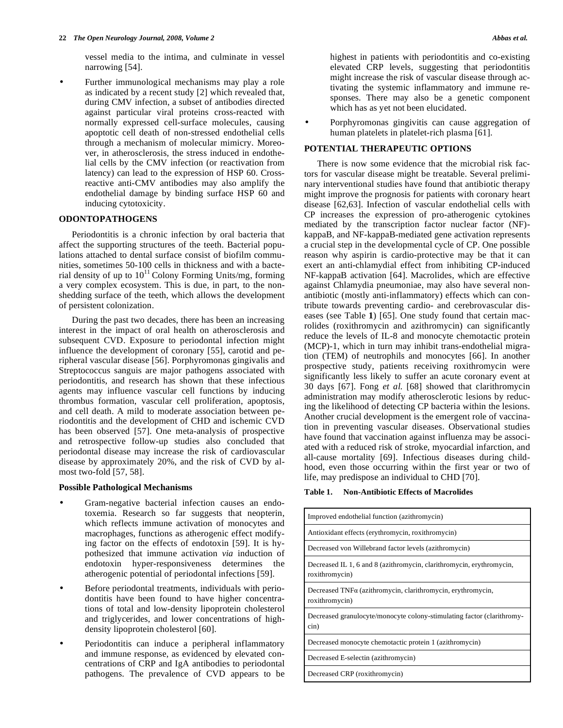vessel media to the intima, and culminate in vessel narrowing [54].

• Further immunological mechanisms may play a role as indicated by a recent study [2] which revealed that, during CMV infection, a subset of antibodies directed against particular viral proteins cross-reacted with normally expressed cell-surface molecules, causing apoptotic cell death of non-stressed endothelial cells through a mechanism of molecular mimicry. Moreover, in atherosclerosis, the stress induced in endothelial cells by the CMV infection (or reactivation from latency) can lead to the expression of HSP 60. Crossreactive anti-CMV antibodies may also amplify the endothelial damage by binding surface HSP 60 and inducing cytotoxicity.

## **ODONTOPATHOGENS**

 Periodontitis is a chronic infection by oral bacteria that affect the supporting structures of the teeth. Bacterial populations attached to dental surface consist of biofilm communities, sometimes 50-100 cells in thickness and with a bacterial density of up to  $10^{11}$  Colony Forming Units/mg, forming a very complex ecosystem. This is due, in part, to the nonshedding surface of the teeth, which allows the development of persistent colonization.

 During the past two decades, there has been an increasing interest in the impact of oral health on atherosclerosis and subsequent CVD. Exposure to periodontal infection might influence the development of coronary [55], carotid and peripheral vascular disease [56]. Porphyromonas gingivalis and Streptococcus sanguis are major pathogens associated with periodontitis, and research has shown that these infectious agents may influence vascular cell functions by inducing thrombus formation, vascular cell proliferation, apoptosis, and cell death. A mild to moderate association between periodontitis and the development of CHD and ischemic CVD has been observed [57]. One meta-analysis of prospective and retrospective follow-up studies also concluded that periodontal disease may increase the risk of cardiovascular disease by approximately 20%, and the risk of CVD by almost two-fold [57, 58].

## **Possible Pathological Mechanisms**

- Gram-negative bacterial infection causes an endotoxemia. Research so far suggests that neopterin, which reflects immune activation of monocytes and macrophages, functions as atherogenic effect modifying factor on the effects of endotoxin [59]. It is hypothesized that immune activation *via* induction of endotoxin hyper-responsiveness determines the atherogenic potential of periodontal infections [59].
- Before periodontal treatments, individuals with periodontitis have been found to have higher concentrations of total and low-density lipoprotein cholesterol and triglycerides, and lower concentrations of highdensity lipoprotein cholesterol [60].
- Periodontitis can induce a peripheral inflammatory and immune response, as evidenced by elevated concentrations of CRP and IgA antibodies to periodontal pathogens. The prevalence of CVD appears to be

highest in patients with periodontitis and co-existing elevated CRP levels, suggesting that periodontitis might increase the risk of vascular disease through activating the systemic inflammatory and immune responses. There may also be a genetic component which has as yet not been elucidated.

• Porphyromonas gingivitis can cause aggregation of human platelets in platelet-rich plasma [61].

#### **POTENTIAL THERAPEUTIC OPTIONS**

 There is now some evidence that the microbial risk factors for vascular disease might be treatable. Several preliminary interventional studies have found that antibiotic therapy might improve the prognosis for patients with coronary heart disease [62,63]. Infection of vascular endothelial cells with CP increases the expression of pro-atherogenic cytokines mediated by the transcription factor nuclear factor (NF) kappaB, and NF-kappaB-mediated gene activation represents a crucial step in the developmental cycle of CP. One possible reason why aspirin is cardio-protective may be that it can exert an anti-chlamydial effect from inhibiting CP-induced NF-kappaB activation [64]. Macrolides, which are effective against Chlamydia pneumoniae, may also have several nonantibiotic (mostly anti-inflammatory) effects which can contribute towards preventing cardio- and cerebrovascular diseases (see Table **1**) [65]. One study found that certain macrolides (roxithromycin and azithromycin) can significantly reduce the levels of IL-8 and monocyte chemotactic protein (MCP)-1, which in turn may inhibit trans-endothelial migration (TEM) of neutrophils and monocytes [66]. In another prospective study, patients receiving roxithromycin were significantly less likely to suffer an acute coronary event at 30 days [67]. Fong *et al.* [68] showed that clarithromycin administration may modify atherosclerotic lesions by reducing the likelihood of detecting CP bacteria within the lesions. Another crucial development is the emergent role of vaccination in preventing vascular diseases. Observational studies have found that vaccination against influenza may be associated with a reduced risk of stroke, myocardial infarction, and all-cause mortality [69]. Infectious diseases during childhood, even those occurring within the first year or two of life, may predispose an individual to CHD [70].

#### **Table 1. Non-Antibiotic Effects of Macrolides**

| Improved endothelial function (azithromycin)                                           |
|----------------------------------------------------------------------------------------|
| Antioxidant effects (erythromycin, roxithromycin)                                      |
| Decreased von Willebrand factor levels (azithromycin)                                  |
| Decreased IL 1, 6 and 8 (azithromycin, clarithromycin, erythromycin,<br>roxithromycin) |
| Decreased $TNF\alpha$ (azithromycin, clarithromycin, erythromycin,<br>roxithromycin)   |
| Decreased granulocyte/monocyte colony-stimulating factor (clarithromy-<br>cin)         |
| Decreased monocyte chemotactic protein 1 (azithromycin)                                |
| Decreased E-selectin (azithromycin)                                                    |
| Decreased CRP (roxithromycin)                                                          |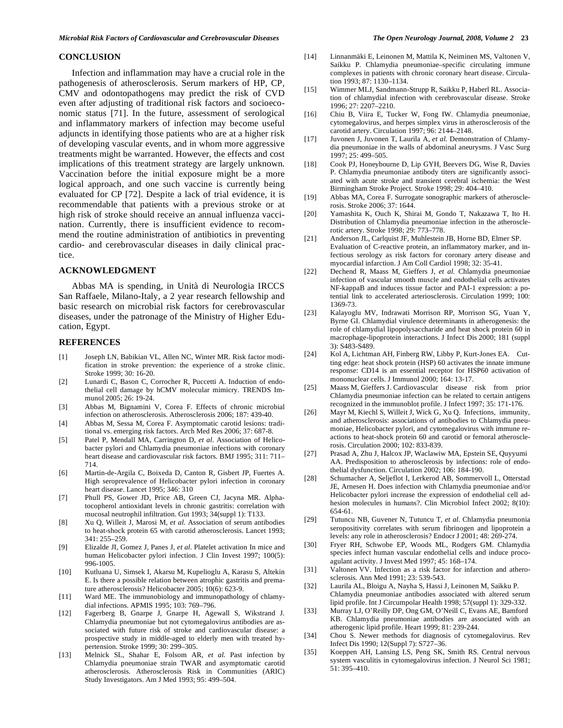#### **CONCLUSION**

 Infection and inflammation may have a crucial role in the pathogenesis of atherosclerosis. Serum markers of HP, CP, CMV and odontopathogens may predict the risk of CVD even after adjusting of traditional risk factors and socioeconomic status [71]. In the future, assessment of serological and inflammatory markers of infection may become useful adjuncts in identifying those patients who are at a higher risk of developing vascular events, and in whom more aggressive treatments might be warranted. However, the effects and cost implications of this treatment strategy are largely unknown. Vaccination before the initial exposure might be a more logical approach, and one such vaccine is currently being evaluated for CP [72]. Despite a lack of trial evidence, it is recommendable that patients with a previous stroke or at high risk of stroke should receive an annual influenza vaccination. Currently, there is insufficient evidence to recommend the routine administration of antibiotics in preventing cardio- and cerebrovascular diseases in daily clinical practice.

#### **ACKNOWLEDGMENT**

 Abbas MA is spending, in Unità di Neurologia IRCCS San Raffaele, Milano-Italy, a 2 year research fellowship and basic research on microbial risk factors for cerebrovascular diseases, under the patronage of the Ministry of Higher Education, Egypt.

#### **REFERENCES**

- [1] Joseph LN, Babikian VL, Allen NC, Winter MR. Risk factor modification in stroke prevention: the experience of a stroke clinic. Stroke 1999; 30: 16-20.
- [2] Lunardi C, Bason C, Corrocher R, Puccetti A. Induction of endothelial cell damage by hCMV molecular mimicry. TRENDS Immunol 2005; 26: 19-24.
- [3] Abbas M, Bignamini V, Corea F. Effects of chronic microbial infection on atherosclerosis. Atherosclerosis 2006; 187: 439-40.
- [4] Abbas M, Sessa M, Corea F. Asymptomatic carotid lesions: traditional vs. emerging risk factors. Arch Med Res 2006; 37: 687-8.
- [5] Patel P, Mendall MA, Carrington D, *et al*. Association of Helicobacter pylori and Chlamydia pneumoniae infections with coronary heart disease and cardiovascular risk factors. BMJ 1995; 311: 711– 714.
- [6] Martin-de-Argila C, Boixeda D, Canton R, Gisbert JP, Fuertes A. High seroprevalence of Helicobacter pylori infection in coronary heart disease. Lancet 1995; 346: 310
- [7] Phull PS, Gower JD, Price AB, Green CJ, Jacyna MR. Alphatocopherol antioxidant levels in chronic gastritis: correlation with mucosal neutrophil infiltration. Gut 1993; 34(suppl 1): T133.
- [8] Xu Q, Willeit J, Marosi M, *et al*. Association of serum antibodies to heat-shock protein 65 with carotid atherosclerosis. Lancet 1993; 341: 255–259.
- [9] Elizalde JI, Gomez J, Panes J, *et al*. Platelet activation In mice and human Helicobacter pylori infection. J Clin Invest 1997; 100(5): 996-1005.
- [10] Kutluana U, Simsek I, Akarsu M, Kupelioglu A, Karasu S, Altekin E. Is there a possible relation between atrophic gastritis and premature atherosclerosis? Helicobacter 2005; 10(6): 623-9.
- [11] Ward ME. The immunobiology and immunopathology of chlamydial infections. APMIS 1995; 103: 769–796.
- [12] Fagerberg B, Gnarpe J, Gnarpe H, Agewall S, Wikstrand J. Chlamydia pneumoniae but not cytomegalovirus antibodies are associated with future risk of stroke and cardiovascular disease: a prospective study in middle-aged to elderly men with treated hypertension. Stroke 1999; 30: 299–305.
- [13] Melnick SL, Shahar E, Folsom AR, *et al.* Past infection by Chlamydia pneumoniae strain TWAR and asymptomatic carotid atherosclerosis. Atherosclerosis Risk in Communities (ARIC) Study Investigators. Am J Med 1993; 95: 499–504.
- [14] Linnanmäki E, Leinonen M, Mattila K, Neiminen MS, Valtonen V, Saikku P. Chlamydia pneumoniae–specific circulating immune complexes in patients with chronic coronary heart disease. Circulation 1993; 87: 1130–1134.
- [15] Wimmer MLJ, Sandmann-Strupp R, Saikku P, Haberl RL. Association of chlamydial infection with cerebrovascular disease. Stroke 1996; 27: 2207–2210.
- [16] Chiu B, Viira E, Tucker W, Fong IW. Chlamydia pneumoniae, cytomegalovirus, and herpes simplex virus in atherosclerosis of the carotid artery. Circulation 1997; 96: 2144–2148.
- [17] Juvonen J, Juvonen T, Laurila A, *et al.* Demonstration of Chlamydia pneumoniae in the walls of abdominal aneurysms. J Vasc Surg 1997; 25: 499–505.
- [18] Cook PJ, Honeybourne D, Lip GYH, Beevers DG, Wise R, Davies P. Chlamydia pneumoniae antibody titers are significantly associated with acute stroke and transient cerebral ischemia: the West Birmingham Stroke Project. Stroke 1998; 29: 404–410.
- [19] Abbas MA, Corea F. Surrogate sonographic markers of atherosclerosis. Stroke 2006; 37: 1644.
- [20] Yamashita K, Ouch K, Shirai M, Gondo T, Nakazawa T, Ito H. Distribution of Chlamydia pneumoniae infection in the atherosclerotic artery. Stroke 1998; 29: 773–778.
- [21] Anderson JL, Carlquist JF, Muhlestein JB, Horne BD, Elmer SP. Evaluation of C-reactive protein, an inflammatory marker, and infectious serology as risk factors for coronary artery disease and myocardial infarction. J Am Coll Cardiol 1998; 32: 35-41.
- [22] Dechend R, Maass M, Gieffers J, *et al.* Chlamydia pneumoniae infection of vascular smooth muscle and endothelial cells activates NF-kappaB and induces tissue factor and PAI-1 expression: a potential link to accelerated arteriosclerosis. Circulation 1999; 100: 1369-73.
- [23] Kalayoglu MV, Indrawati Morrison RP, Morrison SG, Yuan Y, Byrne GI. Chlamydial virulence determinants in atherogenesis: the role of chlamydial lipopolysaccharide and heat shock protein 60 in macrophage-lipoprotein interactions. J Infect Dis 2000; 181 (suppl 3): S483-S489.
- [24] Kol A, Lichtman AH, Finberg RW, Libby P, Kurt-Jones EA. Cutting edge: heat shock protein (HSP) 60 activates the innate immune response: CD14 is an essential receptor for HSP60 activation of mononuclear cells. J Immunol 2000; 164: 13-17.
- [25] Maass M, Gieffers J. Cardiovascular disease risk from prior Chlamydia pneumoniae infection can be related to certain antigens recognized in the immunoblot profile. J Infect 1997; 35: 171-176.
- [26] Mayr M, Kiechl S, Willeit J, Wick G, Xu Q. Infections, immunity, and atherosclerosis: associations of antibodies to Chlamydia pneumoniae, Helicobacter pylori, and cytomegalovirus with immune reactions to heat-shock protein 60 and carotid or femoral atherosclerosis. Circulation 2000; 102: 833-839.
- [27] Prasad A, Zhu J, Halcox JP, Waclawiw MA, Epstein SE, Quyyumi AA. Predisposition to atherosclerosis by infections: role of endothelial dysfunction. Circulation 2002; 106: 184-190.
- [28] Schumacher A, Seljeflot I, Lerkerod AB, Sommervoll L, Otterstad JE, Arnesen H. Does infection with Chlamydia pneumoniae and/or Helicobacter pylori increase the expression of endothelial cell adhesion molecules in humans?. Clin Microbiol Infect 2002; 8(10): 654-61.
- [29] Tutuncu NB, Guvener N, Tutuncu T, *et al.* Chlamydia pneumonia seropositivity correlates with serum fibrinogen and lipoprotein a levels: any role in atherosclerosis? Endocr J 2001; 48: 269-274.
- [30] Fryer RH, Schwobe EP, Woods ML, Rodgers GM. Chlamydia species infect human vascular endothelial cells and induce procoagulant activity. J Invest Med 1997; 45: 168–174.
- [31] Valtonen VV. Infection as a risk factor for infarction and atherosclerosis. Ann Med 1991; 23: 539-543.
- [32] Laurila AL, Bloigu A, Nayha S, Hassi J, Leinonen M, Saikku P. Chlamydia pneumoniae antibodies associated with altered serum lipid profile. Int J Circumpolar Health 1998; 57(suppl 1): 329-332.
- [33] Murray LJ, O'Reilly DP, Ong GM, O'Neill C, Evans AE, Bamford KB. Chlamydia pneumoniae antibodies are associated with an atherogenic lipid profile. Heart 1999; 81: 239-244.
- [34] Chou S. Newer methods for diagnosis of cytomegalovirus. Rev Infect Dis 1990; 12(Suppl 7): S727–36.
- [35] Koeppen AH, Lansing LS, Peng SK, Smith RS. Central nervous system vasculitis in cytomegalovirus infection. J Neurol Sci 1981; 51: 395–410.